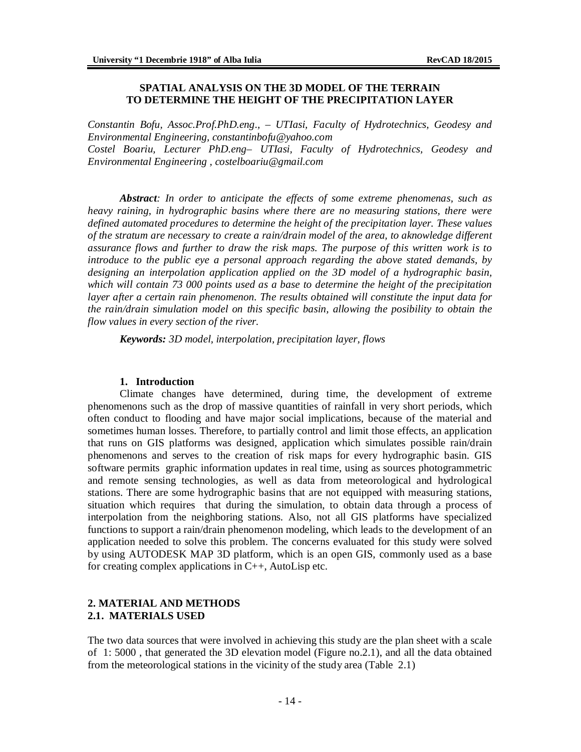### **SPATIAL ANALYSIS ON THE 3D MODEL OF THE TERRAIN TO DETERMINE THE HEIGHT OF THE PRECIPITATION LAYER**

*Constantin Bofu, Assoc.Prof.PhD.eng*.*, – UTIasi, Faculty of Hydrotechnics, Geodesy and Environmental Engineering, [constantinbofu@yahoo.com](mailto:constantinbofu@yahoo.com) Costel Boariu, Lecturer PhD.eng– UTIasi, Faculty of Hydrotechnics, Geodesy and Environmental Engineering , [costelboariu@gmail.com](mailto:costelboariu@gmail.com)*

*Abstract: In order to anticipate the effects of some extreme phenomenas, such as heavy raining, in hydrographic basins where there are no measuring stations, there were defined automated procedures to determine the height of the precipitation layer. These values of the stratum are necessary to create a rain/drain model of the area, to aknowledge different assurance flows and further to draw the risk maps. The purpose of this written work is to introduce to the public eye a personal approach regarding the above stated demands, by designing an interpolation application applied on the 3D model of a hydrographic basin, which will contain 73 000 points used as a base to determine the height of the precipitation layer after a certain rain phenomenon. The results obtained will constitute the input data for the rain/drain simulation model on this specific basin, allowing the posibility to obtain the flow values in every section of the river.*

*Keywords: 3D model, interpolation, precipitation layer, flows*

### **1. Introduction**

Climate changes have determined, during time, the development of extreme phenomenons such as the drop of massive quantities of rainfall in very short periods, which often conduct to flooding and have major social implications, because of the material and sometimes human losses. Therefore, to partially control and limit those effects, an application that runs on GIS platforms was designed, application which simulates possible rain/drain phenomenons and serves to the creation of risk maps for every hydrographic basin. GIS software permits graphic information updates in real time, using as sources photogrammetric and remote sensing technologies, as well as data from meteorological and hydrological stations. There are some hydrographic basins that are not equipped with measuring stations, situation which requires that during the simulation, to obtain data through a process of interpolation from the neighboring stations. Also, not all GIS platforms have specialized functions to support a rain/drain phenomenon modeling, which leads to the development of an application needed to solve this problem. The concerns evaluated for this study were solved by using AUTODESK MAP 3D platform, which is an open GIS, commonly used as a base for creating complex applications in  $C_{++}$ , AutoLisp etc.

## **2. MATERIAL AND METHODS 2.1. MATERIALS USED**

The two data sources that were involved in achieving this study are the plan sheet with a scale of 1: 5000 , that generated the 3D elevation model (Figure no.2.1), and all the data obtained from the meteorological stations in the vicinity of the study area (Table 2.1)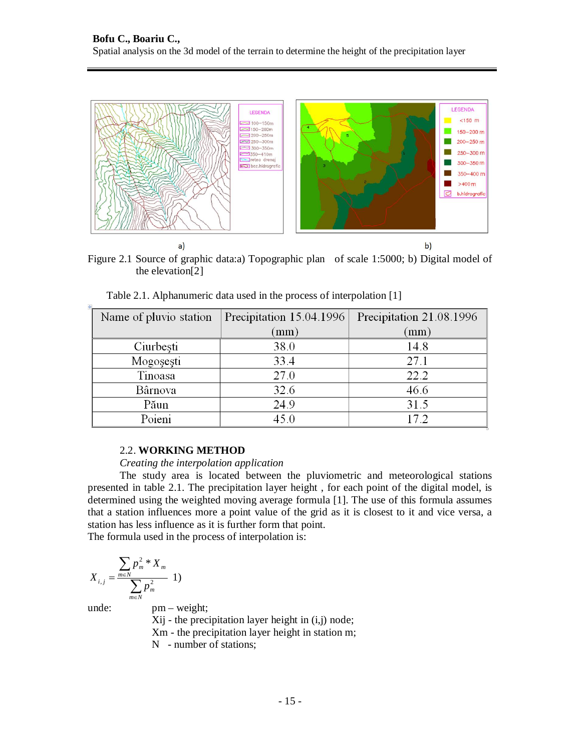

Figure 2.1 Source of graphic data:a) Topographic plan of scale 1:5000; b) Digital model of the elevation[2]

| Name of pluvio station | Precipitation 15.04.1996 | Precipitation 21.08.1996 |  |
|------------------------|--------------------------|--------------------------|--|
|                        | (mm)                     | (mm)                     |  |
| Ciurbești              | 38.0                     | 14.8                     |  |
| Mogosesti              | 33.4                     | 27.1                     |  |
| Tinoasa                | 27.0                     | 22.2                     |  |
| Bârnova                | 32.6                     | 46.6                     |  |
| Păun                   | 24.9                     | 31.5                     |  |
| Poieni                 | 45.0                     | 17.2                     |  |

Table 2.1. Alphanumeric data used in the process of interpolation [1]

### 2.2. **WORKING METHOD**

#### *Creating the interpolation application*

The study area is located between the pluviometric and meteorological stations presented in table 2.1. The precipitation layer height , for each point of the digital model, is determined using the weighted moving average formula [1]. The use of this formula assumes that a station influences more a point value of the grid as it is closest to it and vice versa, a station has less influence as it is further form that point.

The formula used in the process of interpolation is:

$$
X_{i,j} = \frac{\sum_{m \in N} p_m^2 X_m}{\sum_{m \in N} p_m^2} \; 1)
$$

 $\frac{1}{2}$ 

unde: pm – weight; Xij - the precipitation layer height in (i,j) node; Xm - the precipitation layer height in station m; N - number of stations;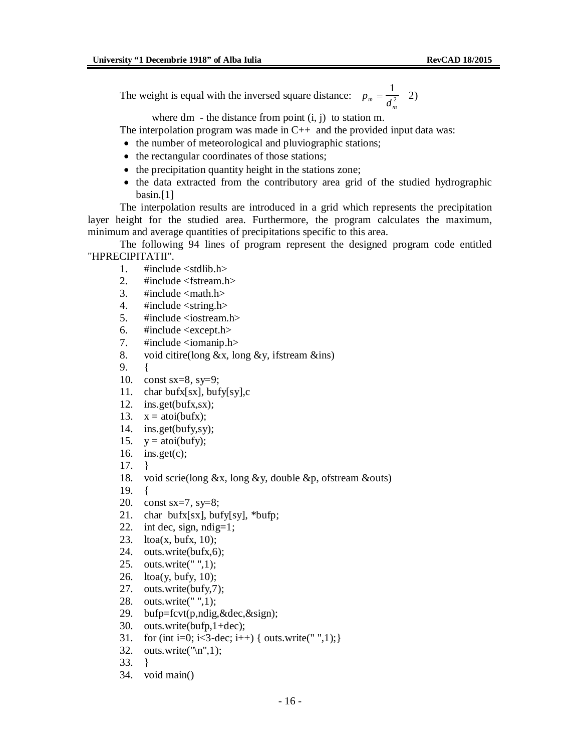The weight is equal with the inversed square distance:  $p_m = \frac{1}{d_m^2}$  $=$ 1  $\frac{1}{2}$  2)

where  $dm - the distance from point (i, j) to station m.$ 

The interpolation program was made in  $C_{++}$  and the provided input data was:

- the number of meteorological and pluviographic stations;
- the rectangular coordinates of those stations;
- the precipitation quantity height in the stations zone;
- the data extracted from the contributory area grid of the studied hydrographic basin.[1]

The interpolation results are introduced in a grid which represents the precipitation layer height for the studied area. Furthermore, the program calculates the maximum, minimum and average quantities of precipitations specific to this area.

The following 94 lines of program represent the designed program code entitled "HPRECIPITATII".

- 1  $\#$ include  $\lt$ stdlib h $>$
- 2. #include <fstream.h>
- 3.  $\#$ include  $\text{cmath.h}$
- 4.  $\#$ include  $\lt$ string.h $>$
- 5. #include <iostream.h>
- 6.  $\#$ include <except.h>
- 7. #include <iomanip.h>
- 8. void citire(long  $&x$ , long  $&y$ , if stream  $&\text{ins}$ )

9. {

- 10. const sx=8, sy=9;
- 11. char bufx[sx], bufy[sy],c
- 12. ins.get(bufx,sx);
- 13.  $x = \text{atoi}(bufx);$
- 14. ins.get(bufy,sy);
- 15.  $y = \text{atoi}(buy);$
- 16. ins.get $(c)$ ;
- 17. }
- 18. void scrie(long &x, long &y, double &p, ofstream &outs)
- 19. {
- 20. const sx=7, sy=8;
- 21. char bufx[sx], bufy[sy], \*bufp;
- 22. int dec, sign,  $ndig=1$ ;
- 23. ltoa $(x, \text{bufx}, 10)$ ;
- 24. outs.write(bufx,6);
- 25. outs.write(" ",1);
- 26. ltoa(y, bufy, 10);
- 27. outs.write(bufy,7);
- 28. outs.write(" ",1);
- 29. bufp=fcvt(p,ndig,&dec,&sign);
- 30. outs.write(bufp,1+dec);
- 31. for (int i=0; i<3-dec; i++) { outs.write(" ",1); }
- 32. outs.write( $\lceil \ln \rceil, 1$ );
- 33. }
- 34. void main()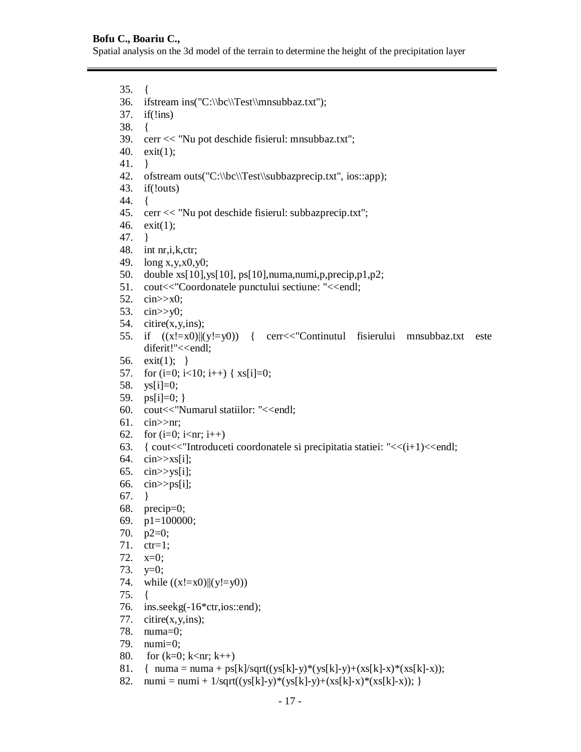## **Bofu C., Boariu C.,**

Spatial analysis on the 3d model of the terrain to determine the height of the precipitation layer

35. { 36. ifstream ins("C:\\bc\\Test\\mnsubbaz.txt"); 37. if(!ins) 38. { 39. cerr << "Nu pot deschide fisierul: mnsubbaz.txt"; 40. exit(1); 41. } 42. ofstream outs("C:\\bc\\Test\\subbazprecip.txt", ios::app); 43. if(!outs) 44. { 45. cerr << "Nu pot deschide fisierul: subbazprecip.txt"; 46. exit(1); 47. } 48. int nr,i,k,ctr; 49. long x,y,x0,y0; 50. double xs[10],ys[10], ps[10],numa,numi,p,precip,p1,p2; 51. cout<<"Coordonatele punctului sectiune: "<<endl; 52. cin>>x0; 53. cin>>y0; 54. citire(x,y,ins); 55. if ((x!=x0)||(y!=y0)) { cerr<<"Continutul fisierului mnsubbaz.txt este diferit!"<<endl; 56. exit(1); } 57. for  $(i=0; i<10; i++)$  {  $xs[i]=0;$ 58. ys[i]=0; 59.  $ps[i]=0;$ } 60. cout<<"Numarul statiilor: "<<endl; 61. cin>>nr; 62. for  $(i=0; i\leq nr; i++)$ 63. { cout << "Introduce ti coordonate le si precipitatia statiei: " <  $\langle i+1 \rangle$  <  $\langle$ endl; 64. cin>>xs[i]; 65. cin $>>$ ys[i]; 66. cin $>>$ ps[i]; 67. } 68. precip=0; 69. p1=100000; 70.  $p2=0$ ; 71. ctr=1; 72. x=0; 73.  $y=0$ ; 74. while  $((x!=x0)||(y!=y0))$ 75. { 76. ins.seekg(-16\*ctr,ios::end); 77. citire(x,y,ins); 78. numa=0; 79. numi=0; 80. for  $(k=0; k<$ nr;  $k++$ ) 81. { numa = numa + ps[k]/sqrt((ys[k]-y)\*(ys[k]-y)+(xs[k]-x)\*(xs[k]-x));

82. numi = numi +  $1/\sqrt{(y[s[k]-y)*(ys[k]-y)+(xs[k]-x)*(xs[k]-x))};$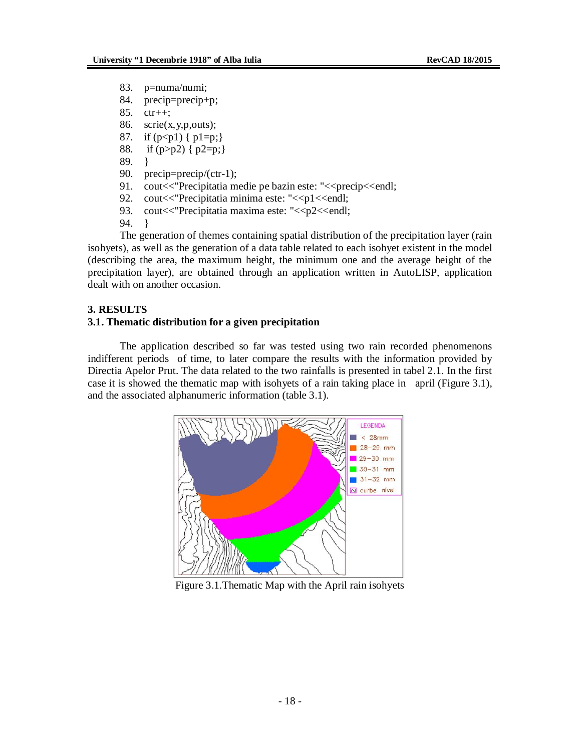- 83. p=numa/numi;
- 84. precip=precip+p;
- 85. ctr++;
- 86. scrie $(x, y, p, \text{outs})$ ;
- 87. if  $(p < p1)$  {  $p1 = p$ ;}
- 88. if (p>p2) { p2=p;}
- 89. }
- 90. precip=precip/(ctr-1);
- 91. cout<<"Precipitatia medie pe bazin este: "<<precip<<endl;
- 92. cout << "Precipitatia minima este: "<< p1 << endl;
- 93. cout << "Precipitatia maxima este: "<< p2<< endl;
- 94. }

The generation of themes containing spatial distribution of the precipitation layer (rain isohyets), as well as the generation of a data table related to each isohyet existent in the model (describing the area, the maximum height, the minimum one and the average height of the precipitation layer), are obtained through an application written in AutoLISP, application dealt with on another occasion.

### **3. RESULTS**

# **3.1. Thematic distribution for a given precipitation**

The application described so far was tested using two rain recorded phenomenons indifferent periods of time, to later compare the results with the information provided by Directia Apelor Prut. The data related to the two rainfalls is presented in tabel 2.1. In the first case it is showed the thematic map with isohyets of a rain taking place in april (Figure 3.1), and the associated alphanumeric information (table 3.1).



Figure 3.1.Thematic Map with the April rain isohyets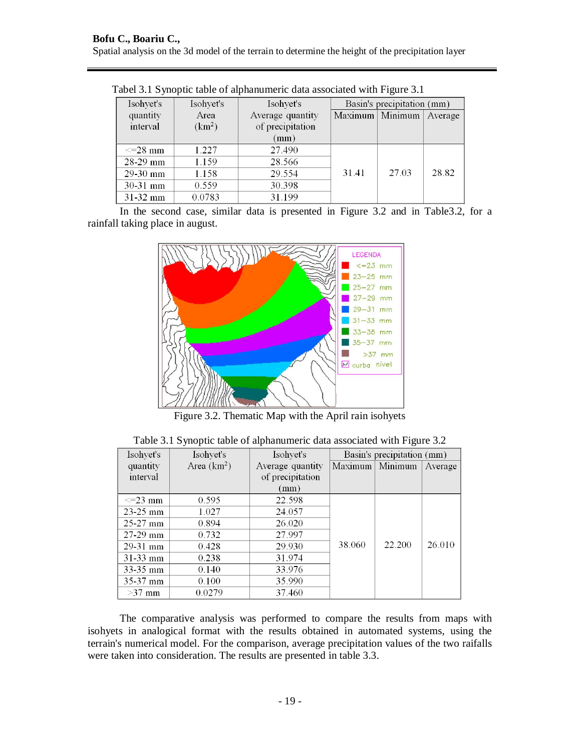| Tworld's property and or application to the absociated with I ight of the |                    |                                         |                            |       |         |  |  |
|---------------------------------------------------------------------------|--------------------|-----------------------------------------|----------------------------|-------|---------|--|--|
| Isohyet's                                                                 | Isohyet's          | Isohyet's                               | Basin's precipitation (mm) |       |         |  |  |
| quantity                                                                  | Area               | Maximum   Minimum  <br>Average quantity |                            |       | Average |  |  |
| interval                                                                  | (km <sup>2</sup> ) | of precipitation                        |                            |       |         |  |  |
|                                                                           |                    | (mm)                                    |                            |       |         |  |  |
| $\leq$ 28 mm                                                              | 1.227              | 27.490                                  |                            |       |         |  |  |
| $28-29$ mm                                                                | 1.159              | 28.566                                  |                            |       |         |  |  |
| $29-30$ mm                                                                | 1.158              | 29.554                                  | 31.41                      | 27.03 | 28.82   |  |  |
| $30-31$ mm                                                                | 0.559              | 30.398                                  |                            |       |         |  |  |
| 31-32 mm                                                                  | 0.0783             | 31.199                                  |                            |       |         |  |  |

Tabel 3.1 Synoptic table of alphanumeric data associated with Figure 3.1

In the second case, similar data is presented in Figure 3.2 and in Table3.2, for a rainfall taking place in august.



Figure 3.2. Thematic Map with the April rain isohyets

|  | Table 3.1 Synoptic table of alphanumeric data associated with Figure 3.2 |  |  |
|--|--------------------------------------------------------------------------|--|--|
|  |                                                                          |  |  |

| Isohyet's    | Isohyet's     | Isohyet's        | Basin's precipitation (mm) |                   |         |
|--------------|---------------|------------------|----------------------------|-------------------|---------|
| quantity     | Area $(km^2)$ | Average quantity |                            | Maximum   Minimum | Average |
| interval     |               | of precipitation |                            |                   |         |
|              |               | (mm)             |                            |                   |         |
| $\leq$ 23 mm | 0.595         | 22.598           |                            |                   |         |
| $23 - 25$ mm | 1.027         | 24.057           |                            |                   |         |
| $25-27$ mm   | 0.894         | 26.020           |                            |                   |         |
| $27-29$ mm   | 0.732         | 27.997           |                            |                   |         |
| $29-31$ mm   | 0.428         | 29.930           | 38.060                     | 22.200            | 26.010  |
| $31-33$ mm   | 0.238         | 31.974           |                            |                   |         |
| $33 - 35$ mm | 0.140         | 33.976           |                            |                   |         |
| $35-37$ mm   | 0.100         | 35.990           |                            |                   |         |
| $>37$ mm     | 0.0279        | 37.460           |                            |                   |         |

The comparative analysis was performed to compare the results from maps with isohyets in analogical format with the results obtained in automated systems, using the terrain's numerical model. For the comparison, average precipitation values of the two raifalls were taken into consideration. The results are presented in table 3.3.